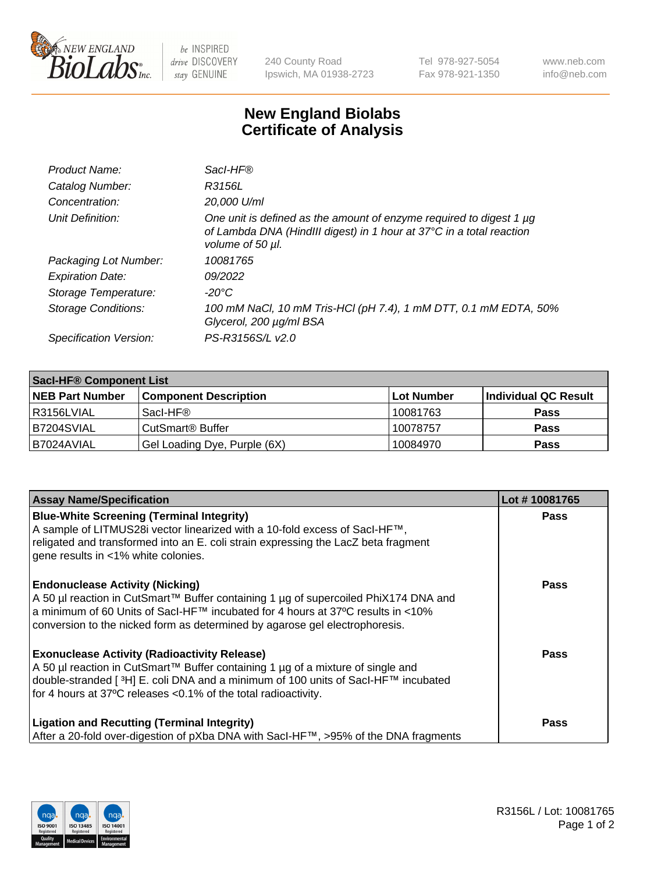

 $be$  INSPIRED drive DISCOVERY stay GENUINE

240 County Road Ipswich, MA 01938-2723 Tel 978-927-5054 Fax 978-921-1350 www.neb.com info@neb.com

## **New England Biolabs Certificate of Analysis**

| Product Name:              | Sacl-HF®                                                                                                                                                        |
|----------------------------|-----------------------------------------------------------------------------------------------------------------------------------------------------------------|
| Catalog Number:            | R3156L                                                                                                                                                          |
| Concentration:             | 20,000 U/ml                                                                                                                                                     |
| Unit Definition:           | One unit is defined as the amount of enzyme required to digest 1 µg<br>of Lambda DNA (HindIII digest) in 1 hour at 37°C in a total reaction<br>volume of 50 µl. |
| Packaging Lot Number:      | 10081765                                                                                                                                                        |
| <b>Expiration Date:</b>    | 09/2022                                                                                                                                                         |
| Storage Temperature:       | $-20^{\circ}$ C                                                                                                                                                 |
| <b>Storage Conditions:</b> | 100 mM NaCl, 10 mM Tris-HCl (pH 7.4), 1 mM DTT, 0.1 mM EDTA, 50%<br>Glycerol, 200 µg/ml BSA                                                                     |
| Specification Version:     | PS-R3156S/L v2.0                                                                                                                                                |

| <b>Sacl-HF® Component List</b> |                              |             |                      |  |  |
|--------------------------------|------------------------------|-------------|----------------------|--|--|
| <b>NEB Part Number</b>         | <b>Component Description</b> | ∣Lot Number | Individual QC Result |  |  |
| l R3156LVIAL                   | Sacl-HF®                     | 10081763    | <b>Pass</b>          |  |  |
| B7204SVIAL                     | CutSmart <sup>®</sup> Buffer | 10078757    | <b>Pass</b>          |  |  |
| B7024AVIAL                     | Gel Loading Dye, Purple (6X) | 10084970    | <b>Pass</b>          |  |  |

| <b>Assay Name/Specification</b>                                                                                                                                                                                                                                                                            | Lot #10081765 |
|------------------------------------------------------------------------------------------------------------------------------------------------------------------------------------------------------------------------------------------------------------------------------------------------------------|---------------|
| <b>Blue-White Screening (Terminal Integrity)</b><br>A sample of LITMUS28i vector linearized with a 10-fold excess of SacI-HF™,<br>religated and transformed into an E. coli strain expressing the LacZ beta fragment<br>gene results in <1% white colonies.                                                | <b>Pass</b>   |
| <b>Endonuclease Activity (Nicking)</b><br>A 50 µl reaction in CutSmart™ Buffer containing 1 µg of supercoiled PhiX174 DNA and<br>a minimum of 60 Units of Sacl-HF™ incubated for 4 hours at 37°C results in <10%<br>conversion to the nicked form as determined by agarose gel electrophoresis.            | Pass          |
| <b>Exonuclease Activity (Radioactivity Release)</b><br>A 50 µl reaction in CutSmart™ Buffer containing 1 µg of a mixture of single and<br>double-stranded [ <sup>3</sup> H] E. coli DNA and a minimum of 100 units of Sacl-HF™ incubated<br>for 4 hours at 37°C releases <0.1% of the total radioactivity. | Pass          |
| <b>Ligation and Recutting (Terminal Integrity)</b><br>After a 20-fold over-digestion of pXba DNA with Sacl-HF™, >95% of the DNA fragments                                                                                                                                                                  | Pass          |